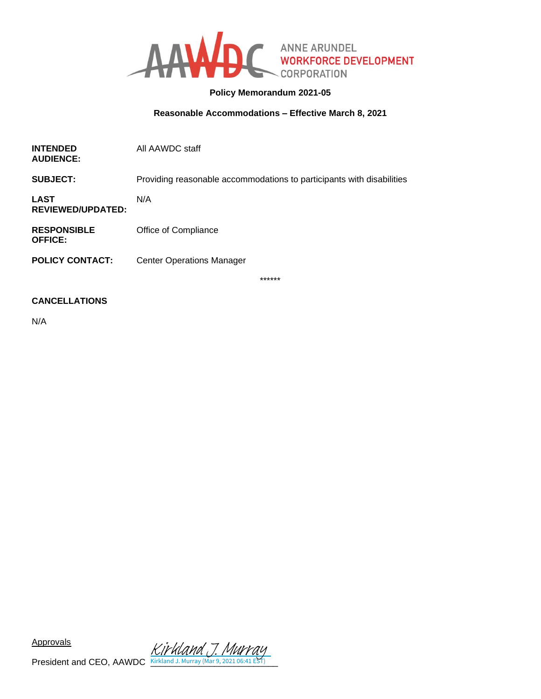

## **Policy Memorandum 2021-05**

## **Reasonable Accommodations – Effective March 8, 2021**

| <b>INTENDED</b><br><b>AUDIENCE:</b>     | All AAWDC staff                                                       |
|-----------------------------------------|-----------------------------------------------------------------------|
| <b>SUBJECT:</b>                         | Providing reasonable accommodations to participants with disabilities |
| <b>LAST</b><br><b>REVIEWED/UPDATED:</b> | N/A                                                                   |
| <b>RESPONSIBLE</b><br><b>OFFICE:</b>    | Office of Compliance                                                  |
| <b>POLICY CONTACT:</b>                  | <b>Center Operations Manager</b>                                      |
|                                         | ******                                                                |

#### **CANCELLATIONS**

N/A

**Approvals**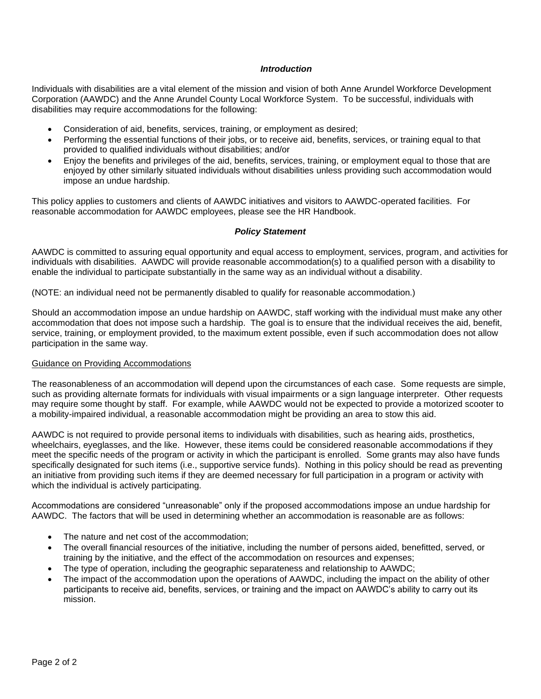#### *Introduction*

Individuals with disabilities are a vital element of the mission and vision of both Anne Arundel Workforce Development Corporation (AAWDC) and the Anne Arundel County Local Workforce System. To be successful, individuals with disabilities may require accommodations for the following:

- Consideration of aid, benefits, services, training, or employment as desired;
- Performing the essential functions of their jobs, or to receive aid, benefits, services, or training equal to that provided to qualified individuals without disabilities; and/or
- Enjoy the benefits and privileges of the aid, benefits, services, training, or employment equal to those that are enjoyed by other similarly situated individuals without disabilities unless providing such accommodation would impose an undue hardship.

This policy applies to customers and clients of AAWDC initiatives and visitors to AAWDC-operated facilities. For reasonable accommodation for AAWDC employees, please see the HR Handbook.

#### *Policy Statement*

AAWDC is committed to assuring equal opportunity and equal access to employment, services, program, and activities for individuals with disabilities. AAWDC will provide reasonable accommodation(s) to a qualified person with a disability to enable the individual to participate substantially in the same way as an individual without a disability.

(NOTE: an individual need not be permanently disabled to qualify for reasonable accommodation.)

Should an accommodation impose an undue hardship on AAWDC, staff working with the individual must make any other accommodation that does not impose such a hardship. The goal is to ensure that the individual receives the aid, benefit, service, training, or employment provided, to the maximum extent possible, even if such accommodation does not allow participation in the same way.

#### Guidance on Providing Accommodations

The reasonableness of an accommodation will depend upon the circumstances of each case. Some requests are simple, such as providing alternate formats for individuals with visual impairments or a sign language interpreter. Other requests may require some thought by staff. For example, while AAWDC would not be expected to provide a motorized scooter to a mobility-impaired individual, a reasonable accommodation might be providing an area to stow this aid.

AAWDC is not required to provide personal items to individuals with disabilities, such as hearing aids, prosthetics, wheelchairs, eyeglasses, and the like. However, these items could be considered reasonable accommodations if they meet the specific needs of the program or activity in which the participant is enrolled. Some grants may also have funds specifically designated for such items (i.e., supportive service funds). Nothing in this policy should be read as preventing an initiative from providing such items if they are deemed necessary for full participation in a program or activity with which the individual is actively participating.

Accommodations are considered "unreasonable" only if the proposed accommodations impose an undue hardship for AAWDC. The factors that will be used in determining whether an accommodation is reasonable are as follows:

- The nature and net cost of the accommodation;
- The overall financial resources of the initiative, including the number of persons aided, benefitted, served, or training by the initiative, and the effect of the accommodation on resources and expenses;
- The type of operation, including the geographic separateness and relationship to AAWDC;
- The impact of the accommodation upon the operations of AAWDC, including the impact on the ability of other participants to receive aid, benefits, services, or training and the impact on AAWDC's ability to carry out its mission.